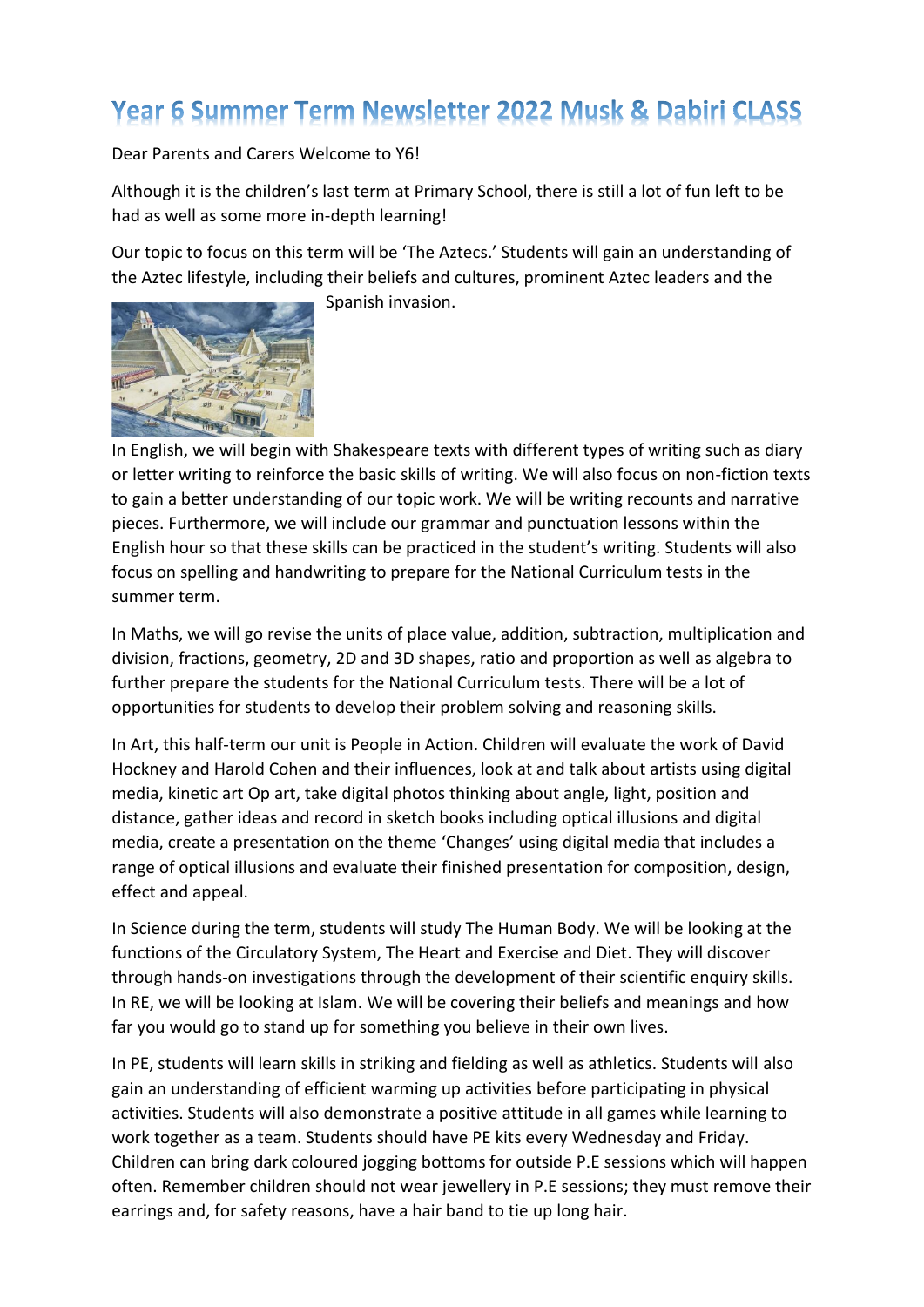## Year 6 Summer Term Newsletter 2022 Musk & Dabiri CLASS

Dear Parents and Carers Welcome to Y6!

Although it is the children's last term at Primary School, there is still a lot of fun left to be had as well as some more in-depth learning!

Our topic to focus on this term will be 'The Aztecs.' Students will gain an understanding of the Aztec lifestyle, including their beliefs and cultures, prominent Aztec leaders and the



Spanish invasion.

In English, we will begin with Shakespeare texts with different types of writing such as diary or letter writing to reinforce the basic skills of writing. We will also focus on non-fiction texts to gain a better understanding of our topic work. We will be writing recounts and narrative pieces. Furthermore, we will include our grammar and punctuation lessons within the English hour so that these skills can be practiced in the student's writing. Students will also focus on spelling and handwriting to prepare for the National Curriculum tests in the summer term.

In Maths, we will go revise the units of place value, addition, subtraction, multiplication and division, fractions, geometry, 2D and 3D shapes, ratio and proportion as well as algebra to further prepare the students for the National Curriculum tests. There will be a lot of opportunities for students to develop their problem solving and reasoning skills.

In Art, this half-term our unit is People in Action. Children will evaluate the work of David Hockney and Harold Cohen and their influences, look at and talk about artists using digital media, kinetic art Op art, take digital photos thinking about angle, light, position and distance, gather ideas and record in sketch books including optical illusions and digital media, create a presentation on the theme 'Changes' using digital media that includes a range of optical illusions and evaluate their finished presentation for composition, design, effect and appeal.

In Science during the term, students will study The Human Body. We will be looking at the functions of the Circulatory System, The Heart and Exercise and Diet. They will discover through hands-on investigations through the development of their scientific enquiry skills. In RE, we will be looking at Islam. We will be covering their beliefs and meanings and how far you would go to stand up for something you believe in their own lives.

In PE, students will learn skills in striking and fielding as well as athletics. Students will also gain an understanding of efficient warming up activities before participating in physical activities. Students will also demonstrate a positive attitude in all games while learning to work together as a team. Students should have PE kits every Wednesday and Friday. Children can bring dark coloured jogging bottoms for outside P.E sessions which will happen often. Remember children should not wear jewellery in P.E sessions; they must remove their earrings and, for safety reasons, have a hair band to tie up long hair.